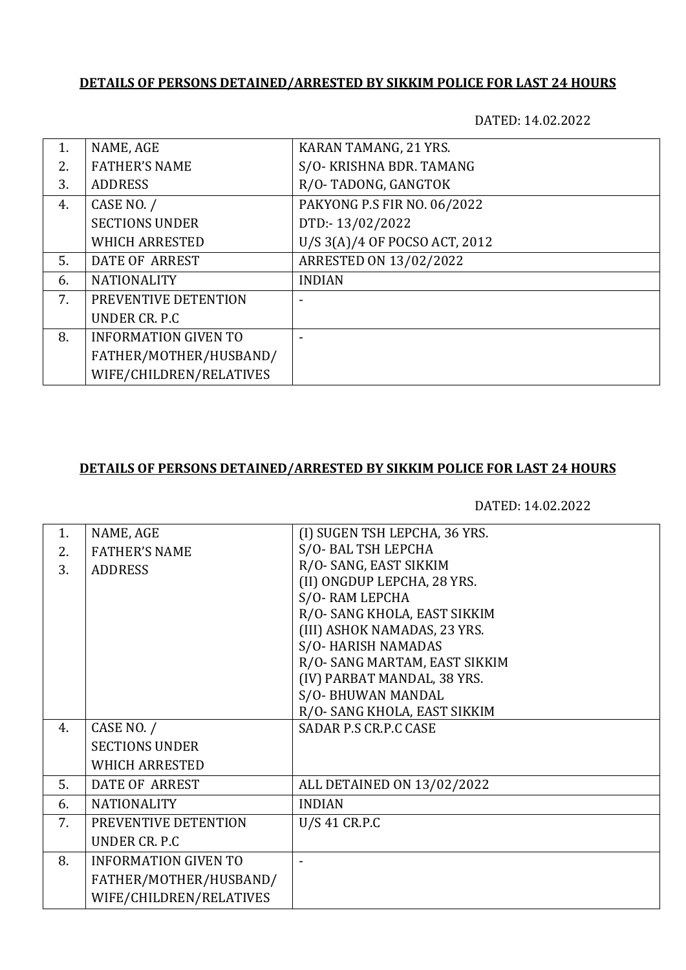## **DETAILS OF PERSONS DETAINED/ARRESTED BY SIKKIM POLICE FOR LAST 24 HOURS**

DATED: 14.02.2022

| NAME, AGE                   | KARAN TAMANG, 21 YRS.         |
|-----------------------------|-------------------------------|
| <b>FATHER'S NAME</b>        | S/O- KRISHNA BDR. TAMANG      |
| <b>ADDRESS</b>              | R/O-TADONG, GANGTOK           |
| CASE NO. /                  | PAKYONG P.S FIR NO. 06/2022   |
| <b>SECTIONS UNDER</b>       | DTD:-13/02/2022               |
| <b>WHICH ARRESTED</b>       | U/S 3(A)/4 OF POCSO ACT, 2012 |
| DATE OF ARREST              | ARRESTED ON 13/02/2022        |
| <b>NATIONALITY</b>          | <b>INDIAN</b>                 |
| PREVENTIVE DETENTION        |                               |
| UNDER CR. P.C               |                               |
| <b>INFORMATION GIVEN TO</b> |                               |
| FATHER/MOTHER/HUSBAND/      |                               |
| WIFE/CHILDREN/RELATIVES     |                               |
|                             |                               |

## **DETAILS OF PERSONS DETAINED/ARRESTED BY SIKKIM POLICE FOR LAST 24 HOURS**

DATED: 14.02.2022

| 1. | NAME, AGE                   | (I) SUGEN TSH LEPCHA, 36 YRS. |
|----|-----------------------------|-------------------------------|
|    |                             | S/O-BAL TSH LEPCHA            |
| 2. | <b>FATHER'S NAME</b>        | R/O-SANG, EAST SIKKIM         |
| 3. | <b>ADDRESS</b>              |                               |
|    |                             | (II) ONGDUP LEPCHA, 28 YRS.   |
|    |                             | S/O-RAM LEPCHA                |
|    |                             | R/O-SANG KHOLA, EAST SIKKIM   |
|    |                             | (III) ASHOK NAMADAS, 23 YRS.  |
|    |                             | S/O-HARISH NAMADAS            |
|    |                             | R/O-SANG MARTAM, EAST SIKKIM  |
|    |                             | (IV) PARBAT MANDAL, 38 YRS.   |
|    |                             | S/O-BHUWAN MANDAL             |
|    |                             | R/O-SANG KHOLA, EAST SIKKIM   |
| 4. | CASE NO. /                  | <b>SADAR P.S CR.P.C CASE</b>  |
|    | <b>SECTIONS UNDER</b>       |                               |
|    | <b>WHICH ARRESTED</b>       |                               |
| 5. | DATE OF ARREST              | ALL DETAINED ON 13/02/2022    |
|    |                             |                               |
| 6. | <b>NATIONALITY</b>          | <b>INDIAN</b>                 |
| 7. | PREVENTIVE DETENTION        | U/S 41 CR.P.C                 |
|    | UNDER CR. P.C.              |                               |
| 8. | <b>INFORMATION GIVEN TO</b> |                               |
|    | FATHER/MOTHER/HUSBAND/      |                               |
|    | WIFE/CHILDREN/RELATIVES     |                               |
|    |                             |                               |